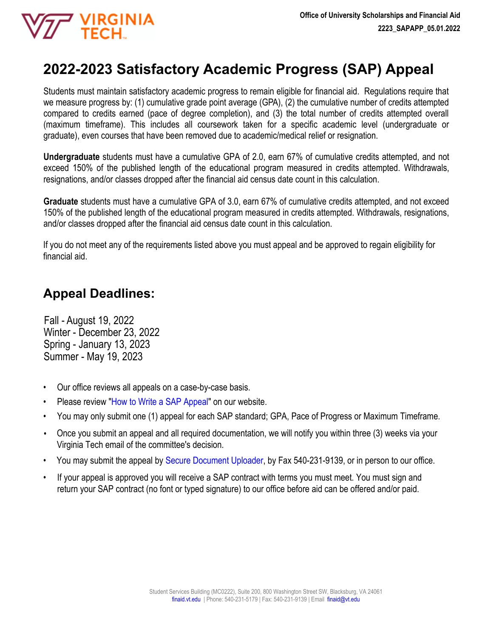# **2022-2023 Satisfactory Academic Progress (SAP) Appeal**

Students must maintain satisfactory academic progress to remain eligible for financial aid. Regulations require that we measure progress by: (1) cumulative grade point average (GPA), (2) the cumulative number of credits attempted compared to credits earned (pace of degree completion), and (3) the total number of credits attempted overall (maximum timeframe). This includes all coursework taken for a specific academic level (undergraduate or graduate), even courses that have been removed due to academic/medical relief or resignation.

**Undergraduate** students must have a cumulative GPA of 2.0, earn 67% of cumulative credits attempted, and not exceed 150% of the published length of the educational program measured in credits attempted. Withdrawals, resignations, and/or classes dropped after the financial aid census date count in this calculation.

**Graduate** students must have a cumulative GPA of 3.0, earn 67% of cumulative credits attempted, and not exceed 150% of the published length of the educational program measured in credits attempted. Withdrawals, resignations, and/or classes dropped after the financial aid census date count in this calculation.

If you do not meet any of the requirements listed above you must appeal and be approved to regain eligibility for financial aid.

## **Appeal Deadlines:**

**THE VIRGINIA** 

Fall - August 19, 2022 Winter - December 23, 2022 Spring - January 13, 2023 Summer - May 19, 2023

- Our office reviews all appeals on a case-by-case basis.
- Please review "How to W[rite a SAP Appeal](https://finaid.vt.edu/appeals/satisfactory-academic-progress/sap-appeal/sap-guideline.html)" on our website.
- You may only submit one (1) appeal for each SAP standard; GPA, Pace of Progress or Maximum Timeframe.
- Once you submit an appeal and all required documentation, we will notify you within three (3) weeks via your Virginia Tech email of the committee's decision.
- You may submit the appeal by [Secure Document Uploader,](https://finaid.vt.edu/documentuploader.html) by Fax 540-231-9139, or in person to our office.
- If your appeal is approved you will receive a SAP contract with terms you must meet. You must sign and return your SAP contract (no font or typed signature) to our office before aid can be offered and/or paid.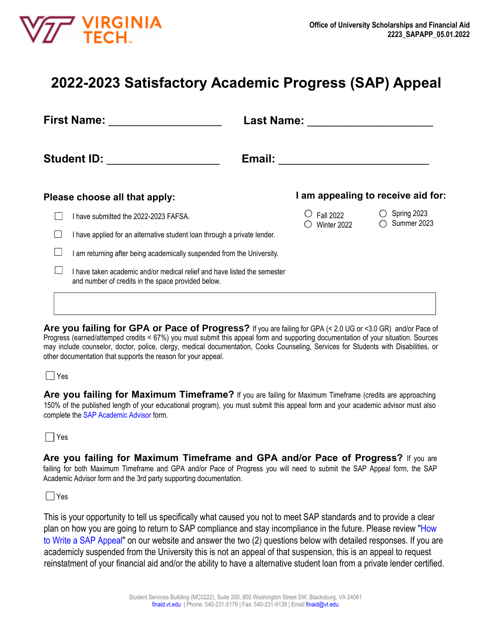

# **2022-2023 Satisfactory Academic Progress (SAP) Appeal**

| <b>First Name:</b>                                                                                                             | <b>Last Name:</b>               |                                    |  |
|--------------------------------------------------------------------------------------------------------------------------------|---------------------------------|------------------------------------|--|
| <b>Student ID:</b>                                                                                                             | Email:                          |                                    |  |
| Please choose all that apply:                                                                                                  |                                 | I am appealing to receive aid for: |  |
| I have submitted the 2022-2023 FAFSA.                                                                                          | <b>Fall 2022</b><br>Winter 2022 | Spring 2023<br>Summer 2023         |  |
| I have applied for an alternative student loan through a private lender.                                                       |                                 |                                    |  |
| am returning after being academically suspended from the University.                                                           |                                 |                                    |  |
| I have taken academic and/or medical relief and have listed the semester<br>and number of credits in the space provided below. |                                 |                                    |  |
|                                                                                                                                |                                 |                                    |  |
|                                                                                                                                |                                 |                                    |  |

**Are you failing for GPA or Pace of Progress?** If you are failing for GPA (< 2.0 UG or <3.0 GR) and/or Pace of Progress (earned/attemped credits < 67%) you must submit this appeal form and supporting documentation of your situation. Sources may include counselor, doctor, police, clergy, medical documentation, Cooks Counseling, Services for Students with Disabilities, or other documentation that supports the reason for your appeal.

### Yes

Are you failing for Maximum Timeframe? If you are failing for Maximum Timeframe (credits are approaching 150% of the published length of your educational program), you must submit this appeal form and your academic advisor must also complete the [SAP Academic Advisor](https://finaid.vt.edu/content/dam/finaid_vt_edu/forms/2223/SAPADV_2223.pdf) form.

### $\Box$  Yes

**Are you failing for Maximum Timeframe and GPA and/or Pace of Progress?** If you are failing for both Maximum Timeframe and GPA and/or Pace of Progress you will need to submit the SAP Appeal form, the SAP Academic Advisor form and the 3rd party supporting documentation.

### $\Box$  Yes

This is your opportunity to tell us specifically what caused you not to meet SAP standards and to provide a clear plan on how you are going to return to SAP compliance and stay incompliance in the future. Please review "[How](https://finaid.vt.edu/appeals/satisfactory-academic-progress/sap-appeal/sap-guideline.html) [to Write a SAP Appeal"](https://finaid.vt.edu/appeals/satisfactory-academic-progress/sap-appeal/sap-guideline.html) on our website and answer the two (2) questions below with detailed responses. If you are academicly suspended from the University this is not an appeal of that suspension, this is an appeal to request reinstatment of your financial aid and/or the ability to have a alternative student loan from a private lender certified.